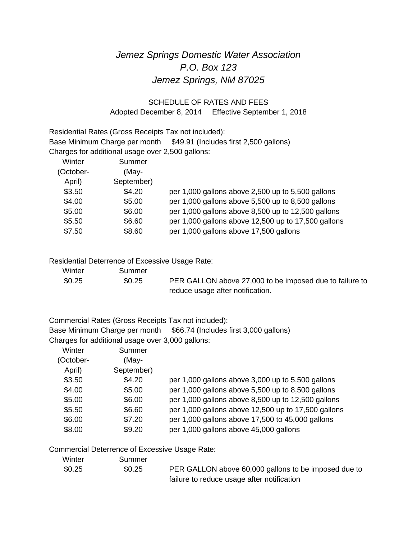# *Jemez Springs Domestic Water Association P.O. Box 123 Jemez Springs, NM 87025*

### SCHEDULE OF RATES AND FEES Adopted December 8, 2014 Effective September 1, 2018

Residential Rates (Gross Receipts Tax not included): Base Minimum Charge per month \$49.91 (Includes first 2,500 gallons) Charges for additional usage over 2,500 gallons:

| Winter    | Summer     |                                                     |
|-----------|------------|-----------------------------------------------------|
| (October- | (May-      |                                                     |
| April)    | September) |                                                     |
| \$3.50    | \$4.20     | per 1,000 gallons above 2,500 up to 5,500 gallons   |
| \$4.00    | \$5.00     | per 1,000 gallons above 5,500 up to 8,500 gallons   |
| \$5.00    | \$6.00     | per 1,000 gallons above 8,500 up to 12,500 gallons  |
| \$5.50    | \$6.60     | per 1,000 gallons above 12,500 up to 17,500 gallons |
| \$7.50    | \$8.60     | per 1,000 gallons above 17,500 gallons              |

#### Residential Deterrence of Excessive Usage Rate:

| Winter | Summer |                                                         |
|--------|--------|---------------------------------------------------------|
| \$0.25 | \$0.25 | PER GALLON above 27,000 to be imposed due to failure to |
|        |        | reduce usage after notification.                        |

Commercial Rates (Gross Receipts Tax not included):

Base Minimum Charge per month \$66.74 (Includes first 3,000 gallons) Charges for additional usage over 3,000 gallons:

| Winter    | Summer     |                                                     |
|-----------|------------|-----------------------------------------------------|
| (October- | (May-      |                                                     |
| April)    | September) |                                                     |
| \$3.50    | \$4.20     | per 1,000 gallons above 3,000 up to 5,500 gallons   |
| \$4.00    | \$5.00     | per 1,000 gallons above 5,500 up to 8,500 gallons   |
| \$5.00    | \$6.00     | per 1,000 gallons above 8,500 up to 12,500 gallons  |
| \$5.50    | \$6.60     | per 1,000 gallons above 12,500 up to 17,500 gallons |
| \$6.00    | \$7.20     | per 1,000 gallons above 17,500 to 45,000 gallons    |
| \$8.00    | \$9.20     | per 1,000 gallons above 45,000 gallons              |

#### Commercial Deterrence of Excessive Usage Rate:

| Winter | Summer |                                                      |
|--------|--------|------------------------------------------------------|
| \$0.25 | \$0.25 | PER GALLON above 60,000 gallons to be imposed due to |
|        |        | failure to reduce usage after notification           |